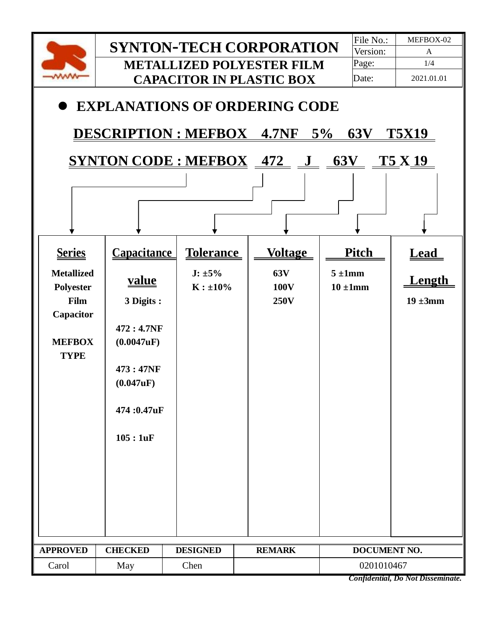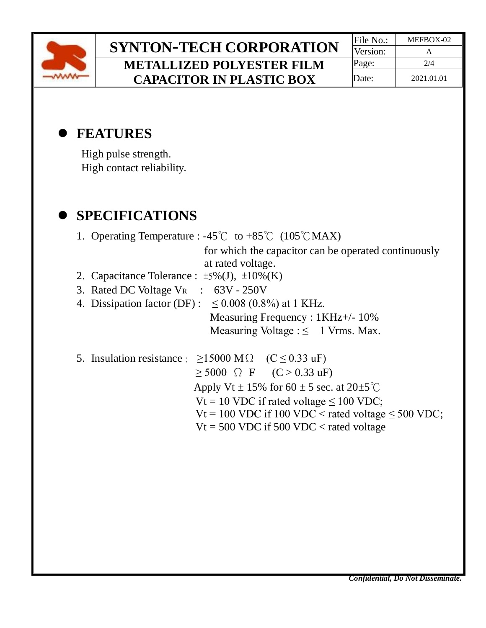

# **SYNTON-TECH CORPORATION** File No.: MEFBOX-02 **METALLIZED POLYESTER FILM CAPACITOR IN PLASTIC BOX**

Version: **Page:** 2/4 Date: 2021.01.01

## ⚫ **FEATURES**

High pulse strength. High contact reliability.

## ⚫ **SPECIFICATIONS**

|                                                                     | 1. Operating Temperature : $-45^{\circ}$ C to $+85^{\circ}$ C (105 <sup>°</sup> CMAX) |  |  |  |  |  |
|---------------------------------------------------------------------|---------------------------------------------------------------------------------------|--|--|--|--|--|
|                                                                     | for which the capacitor can be operated continuously                                  |  |  |  |  |  |
|                                                                     | at rated voltage.                                                                     |  |  |  |  |  |
|                                                                     | 2. Capacitance Tolerance : $\pm 5\%$ (J), $\pm 10\%$ (K)                              |  |  |  |  |  |
|                                                                     | 3. Rated DC Voltage $V_R$ : 63V - 250V                                                |  |  |  |  |  |
|                                                                     | 4. Dissipation factor (DF): $\leq 0.008$ (0.8%) at 1 KHz.                             |  |  |  |  |  |
|                                                                     | Measuring Frequency : 1KHz+/- 10%                                                     |  |  |  |  |  |
|                                                                     | Measuring Voltage $:\leq$ 1 Vrms. Max.                                                |  |  |  |  |  |
|                                                                     | 5. Insulation resistance : $\geq 15000$ M $\Omega$ (C $\leq 0.33$ uF)                 |  |  |  |  |  |
|                                                                     | $\geq 5000$ $\Omega$ F $(C > 0.33 \text{ uF})$                                        |  |  |  |  |  |
| Apply Vt $\pm$ 15% for 60 $\pm$ 5 sec. at 20 $\pm$ 5 <sup>°</sup> C |                                                                                       |  |  |  |  |  |
|                                                                     | Vt = 10 VDC if rated voltage $\leq 100$ VDC;                                          |  |  |  |  |  |
|                                                                     | $Vt = 100$ VDC if 100 VDC < rated voltage $\leq 500$ VDC;                             |  |  |  |  |  |
|                                                                     | $Vt = 500 \text{ VDC}$ if 500 VDC < rated voltage                                     |  |  |  |  |  |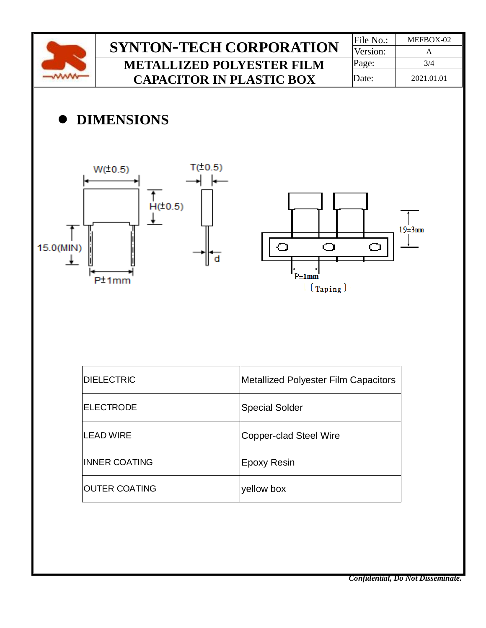

OUTER COATING Vellow box

*Confidential, Do Not Disseminate.*